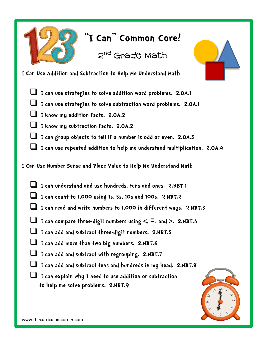

## **"I Can" Common Core!**

2<sup>nd</sup> Grade Math

## **I Can Use Addition and Subtraction to Help Me Understand Math**

- **I can use strategies to solve addition word problems. 2.OA.1**
- **I can use strategies to solve subtraction word problems. 2.OA.1**
- **I know my addition facts. 2.OA.2**
- **I know my subtraction facts. 2.OA.2**
- **I can group objects to tell if a number is odd or even. 2.OA.3**
- **I can use repeated addition to help me understand multiplication. 2.OA.4**

**I Can Use Number Sense and Place Value to Help Me Understand Math**

- **I can understand and use hundreds, tens and ones. 2.NBT.1**
- **I can count to 1,000 using 1s, 5s, 10s and 100s. 2.NBT.2**
- **I can read and write numbers to 1,000 in different ways. 2.NBT.3**
- **I can compare three-digit numbers using <,** =**, and >. 2.NBT.4**
- **I can add and subtract three-digit numbers. 2.NBT.5**
- **I can add more than two big numbers. 2.NBT.6**
- **I can add and subtract with regrouping. 2.NBT.7**
- **I can add and subtract tens and hundreds in my head. 2.NBT.8**
- **I can explain why I need to use addition or subtraction to help me solve problems. 2.NBT.9**